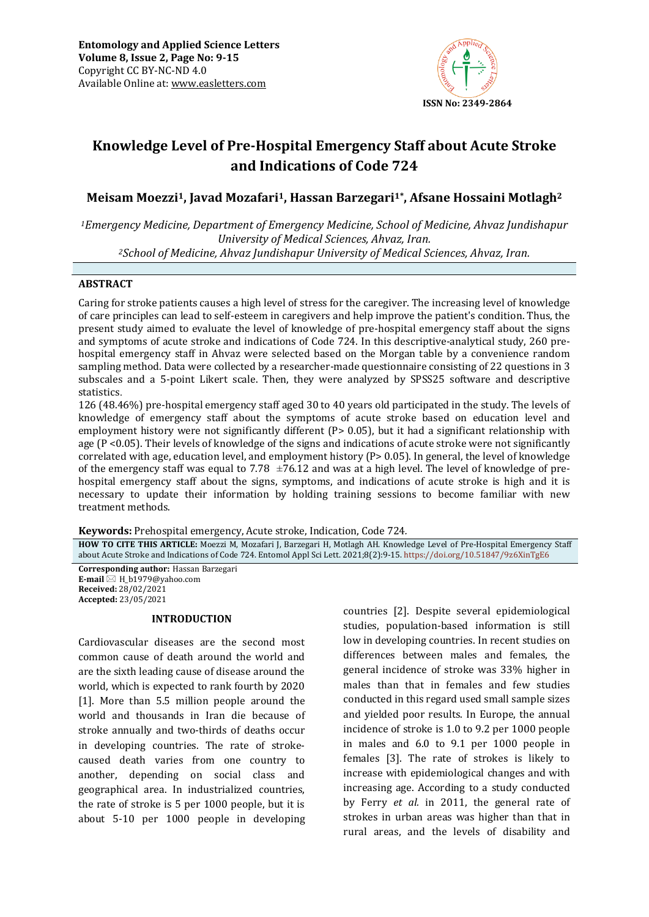

# **Knowledge Level of Pre-Hospital Emergency Staff about Acute Stroke and Indications of Code 724**

## **Meisam Moezzi1, Javad Mozafari1, Hassan Barzegari1\*, Afsane Hossaini Motlagh<sup>2</sup>**

*<sup>1</sup>Emergency Medicine, Department of Emergency Medicine, School of Medicine, Ahvaz Jundishapur University of Medical Sciences, Ahvaz, Iran. <sup>2</sup>School of Medicine, Ahvaz Jundishapur University of Medical Sciences, Ahvaz, Iran.*

## **ABSTRACT**

Caring for stroke patients causes a high level of stress for the caregiver. The increasing level of knowledge of care principles can lead to self-esteem in caregivers and help improve the patient's condition. Thus, the present study aimed to evaluate the level of knowledge of pre-hospital emergency staff about the signs and symptoms of acute stroke and indications of Code 724. In this descriptive-analytical study, 260 prehospital emergency staff in Ahvaz were selected based on the Morgan table by a convenience random sampling method. Data were collected by a researcher-made questionnaire consisting of 22 questions in 3 subscales and a 5-point Likert scale. Then, they were analyzed by SPSS25 software and descriptive statistics.

126 (48.46%) pre-hospital emergency staff aged 30 to 40 years old participated in the study. The levels of knowledge of emergency staff about the symptoms of acute stroke based on education level and employment history were not significantly different (P> 0.05), but it had a significant relationship with age (P <0.05). Their levels of knowledge of the signs and indications of acute stroke were not significantly correlated with age, education level, and employment history (P> 0.05). In general, the level of knowledge of the emergency staff was equal to 7.78  $\pm$ 76.12 and was at a high level. The level of knowledge of prehospital emergency staff about the signs, symptoms, and indications of acute stroke is high and it is necessary to update their information by holding training sessions to become familiar with new treatment methods.

**Keywords:** Prehospital emergency, Acute stroke, Indication, Code 724*.*

**HOW TO CITE THIS ARTICLE:** Moezzi M, Mozafari J, Barzegari H, Motlagh AH. Knowledge Level of Pre-Hospital Emergency Staff about Acute Stroke and Indications of Code 724. Entomol Appl Sci Lett. 2021;8(2):9-15. <https://doi.org/10.51847/9z6XinTgE6>

**Corresponding author:** Hassan Barzegari **E-mail**  $\boxtimes$  H b1979@vahoo.com **Received:** 28/02/2021 **Accepted:** 23/05/2021

#### **INTRODUCTION**

Cardiovascular diseases are the second most common cause of death around the world and are the sixth leading cause of disease around the world, which is expected to rank fourth by 2020 [1]. More than 5.5 million people around the world and thousands in Iran die because of stroke annually and two-thirds of deaths occur in developing countries. The rate of strokecaused death varies from one country to another, depending on social class and geographical area. In industrialized countries, the rate of stroke is 5 per 1000 people, but it is about 5-10 per 1000 people in developing

countries [2]. Despite several epidemiological studies, population-based information is still low in developing countries. In recent studies on differences between males and females, the general incidence of stroke was 33% higher in males than that in females and few studies conducted in this regard used small sample sizes and yielded poor results. In Europe, the annual incidence of stroke is 1.0 to 9.2 per 1000 people in males and 6.0 to 9.1 per 1000 people in females [3]. The rate of strokes is likely to increase with epidemiological changes and with increasing age. According to a study conducted by Ferry *et al.* in 2011, the general rate of strokes in urban areas was higher than that in rural areas, and the levels of disability and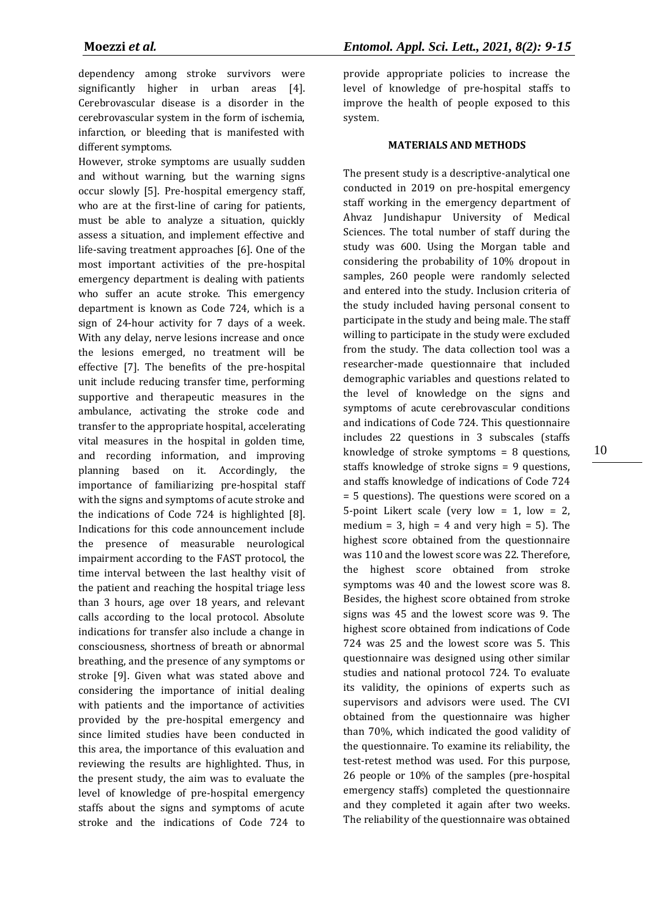dependency among stroke survivors were significantly higher in urban areas [4]. Cerebrovascular disease is a disorder in the cerebrovascular system in the form of ischemia, infarction, or bleeding that is manifested with different symptoms.

However, stroke symptoms are usually sudden and without warning, but the warning signs occur slowly [5]. Pre-hospital emergency staff, who are at the first-line of caring for patients, must be able to analyze a situation, quickly assess a situation, and implement effective and life-saving treatment approaches [6]. One of the most important activities of the pre-hospital emergency department is dealing with patients who suffer an acute stroke. This emergency department is known as Code 724, which is a sign of 24-hour activity for 7 days of a week. With any delay, nerve lesions increase and once the lesions emerged, no treatment will be effective [7]. The benefits of the pre-hospital unit include reducing transfer time, performing supportive and therapeutic measures in the ambulance, activating the stroke code and transfer to the appropriate hospital, accelerating vital measures in the hospital in golden time, and recording information, and improving planning based on it. Accordingly, the importance of familiarizing pre-hospital staff with the signs and symptoms of acute stroke and the indications of Code 724 is highlighted [8]. Indications for this code announcement include the presence of measurable neurological impairment according to the FAST protocol, the time interval between the last healthy visit of the patient and reaching the hospital triage less than 3 hours, age over 18 years, and relevant calls according to the local protocol. Absolute indications for transfer also include a change in consciousness, shortness of breath or abnormal breathing, and the presence of any symptoms or stroke [9]. Given what was stated above and considering the importance of initial dealing with patients and the importance of activities provided by the pre-hospital emergency and since limited studies have been conducted in this area, the importance of this evaluation and reviewing the results are highlighted. Thus, in the present study, the aim was to evaluate the level of knowledge of pre-hospital emergency staffs about the signs and symptoms of acute stroke and the indications of Code 724 to

provide appropriate policies to increase the level of knowledge of pre-hospital staffs to improve the health of people exposed to this system.

#### **MATERIALS AND METHODS**

The present study is a descriptive-analytical one conducted in 2019 on pre-hospital emergency staff working in the emergency department of Ahvaz Jundishapur University of Medical Sciences. The total number of staff during the study was 600. Using the Morgan table and considering the probability of 10% dropout in samples, 260 people were randomly selected and entered into the study. Inclusion criteria of the study included having personal consent to participate in the study and being male. The staff willing to participate in the study were excluded from the study. The data collection tool was a researcher-made questionnaire that included demographic variables and questions related to the level of knowledge on the signs and symptoms of acute cerebrovascular conditions and indications of Code 724. This questionnaire includes 22 questions in 3 subscales (staffs knowledge of stroke symptoms  $= 8$  questions. staffs knowledge of stroke signs = 9 questions, and staffs knowledge of indications of Code 724 = 5 questions). The questions were scored on a 5-point Likert scale (very low  $= 1$ , low  $= 2$ , medium = 3, high = 4 and very high = 5). The highest score obtained from the questionnaire was 110 and the lowest score was 22. Therefore, the highest score obtained from stroke symptoms was 40 and the lowest score was 8. Besides, the highest score obtained from stroke signs was 45 and the lowest score was 9. The highest score obtained from indications of Code 724 was 25 and the lowest score was 5. This questionnaire was designed using other similar studies and national protocol 724. To evaluate its validity, the opinions of experts such as supervisors and advisors were used. The CVI obtained from the questionnaire was higher than 70%, which indicated the good validity of the questionnaire. To examine its reliability, the test-retest method was used. For this purpose, 26 people or 10% of the samples (pre-hospital emergency staffs) completed the questionnaire and they completed it again after two weeks. The reliability of the questionnaire was obtained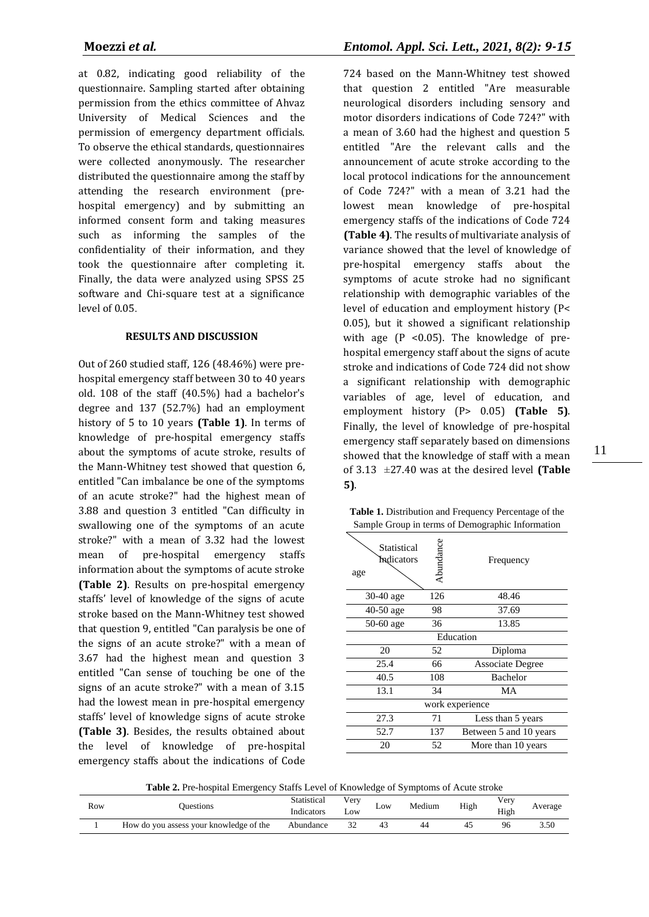at 0.82, indicating good reliability of the questionnaire. Sampling started after obtaining permission from the ethics committee of Ahvaz University of Medical Sciences and the permission of emergency department officials. To observe the ethical standards, questionnaires were collected anonymously. The researcher distributed the questionnaire among the staff by attending the research environment (prehospital emergency) and by submitting an informed consent form and taking measures such as informing the samples of the confidentiality of their information, and they took the questionnaire after completing it. Finally, the data were analyzed using SPSS 25 software and Chi-square test at a significance level of 0.05.

### **RESULTS AND DISCUSSION**

Out of 260 studied staff, 126 (48.46%) were prehospital emergency staff between 30 to 40 years old. 108 of the staff (40.5%) had a bachelor's degree and 137 (52.7%) had an employment history of 5 to 10 years **(Table 1)**. In terms of knowledge of pre-hospital emergency staffs about the symptoms of acute stroke, results of the Mann-Whitney test showed that question 6, entitled "Can imbalance be one of the symptoms of an acute stroke?" had the highest mean of 3.88 and question 3 entitled "Can difficulty in swallowing one of the symptoms of an acute stroke?" with a mean of 3.32 had the lowest mean of pre-hospital emergency staffs information about the symptoms of acute stroke **(Table 2)**. Results on pre-hospital emergency staffs' level of knowledge of the signs of acute stroke based on the Mann-Whitney test showed that question 9, entitled "Can paralysis be one of the signs of an acute stroke?" with a mean of 3.67 had the highest mean and question 3 entitled "Can sense of touching be one of the signs of an acute stroke?" with a mean of 3.15 had the lowest mean in pre-hospital emergency staffs' level of knowledge signs of acute stroke **(Table 3)**. Besides, the results obtained about the level of knowledge of pre-hospital emergency staffs about the indications of Code

724 based on the Mann-Whitney test showed that question 2 entitled "Are measurable neurological disorders including sensory and motor disorders indications of Code 724?" with a mean of 3.60 had the highest and question 5 entitled "Are the relevant calls and the announcement of acute stroke according to the local protocol indications for the announcement of Code 724?" with a mean of 3.21 had the lowest mean knowledge of pre-hospital emergency staffs of the indications of Code 724 **(Table 4)**. The results of multivariate analysis of variance showed that the level of knowledge of pre-hospital emergency staffs about the symptoms of acute stroke had no significant relationship with demographic variables of the level of education and employment history (P< 0.05), but it showed a significant relationship with age  $(P \le 0.05)$ . The knowledge of prehospital emergency staff about the signs of acute stroke and indications of Code 724 did not show a significant relationship with demographic variables of age, level of education, and employment history (P> 0.05) **(Table 5)**. Finally, the level of knowledge of pre-hospital emergency staff separately based on dimensions showed that the knowledge of staff with a mean of 3.13 ±27.40 was at the desired level **(Table 5)**.

**Table 1.** Distribution and Frequency Percentage of the Sample Group in terms of Demographic Information

| Statistical<br>Indicators<br>age | Abundance | Frequency               |
|----------------------------------|-----------|-------------------------|
| 30-40 age                        | 126       | 48.46                   |
| $40-50$ age                      | 98        | 37.69                   |
| 50-60 age                        | 36        | 13.85                   |
|                                  |           | Education               |
| 20                               | 52        | Diploma                 |
| 25.4                             | 66        | <b>Associate Degree</b> |
| 40.5                             | 108       | Bachelor                |
| 13.1                             | 34        | МA                      |
|                                  |           | work experience         |
| 27.3                             | 71        | Less than 5 years       |
| 52.7                             | 137       | Between 5 and 10 years  |
| 20                               | 52        | More than 10 years      |

**Table 2.** Pre-hospital Emergency Staffs Level of Knowledge of Symptoms of Acute stroke

|     | $\sim$                                  | .           |           |     | ____<br>_____ |      |                  |         |
|-----|-----------------------------------------|-------------|-----------|-----|---------------|------|------------------|---------|
| Row | <b>Duestions</b>                        | Statistical | v er y    | Low | Medium        | High | V <sub>erv</sub> | Average |
|     |                                         | Indicators  | $\sim$ OW |     |               |      | High             |         |
|     | How do you assess your knowledge of the | Abundance   |           | 43  |               |      | 96               | 3.50    |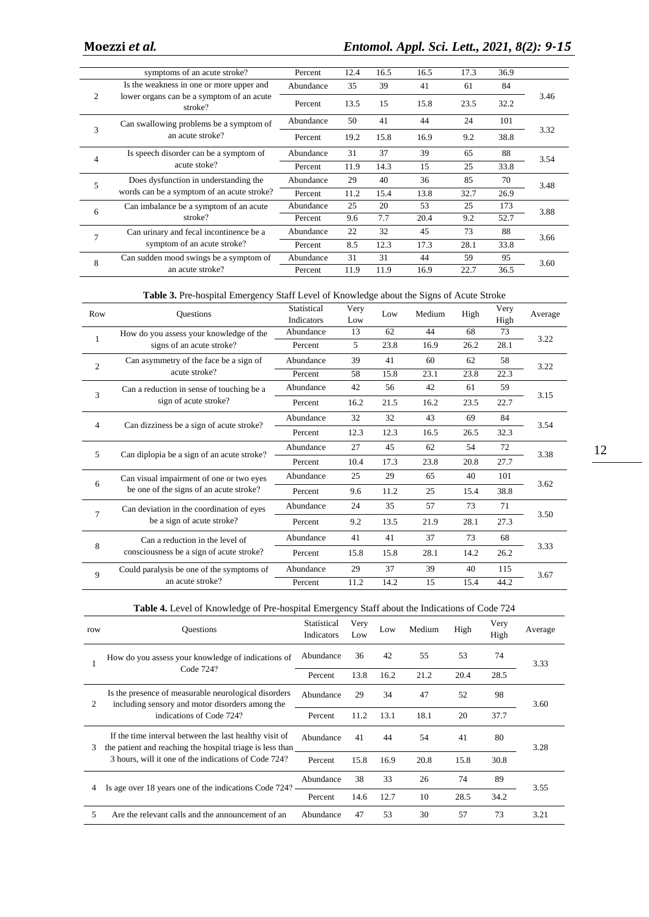|                | symptoms of an acute stroke?                         | Percent   | 12.4 | 16.5                             | 16.5 | 17.3 | 36.9 |      |
|----------------|------------------------------------------------------|-----------|------|----------------------------------|------|------|------|------|
|                | Is the weakness in one or more upper and             | Abundance | 35   | 39                               | 41   | 61   | 84   |      |
| 2              | lower organs can be a symptom of an acute<br>stroke? | Percent   | 13.5 | 15                               | 15.8 | 23.5 | 32.2 | 3.46 |
|                | Can swallowing problems be a symptom of              | Abundance | 50   | 41                               | 44   | 24   | 101  |      |
| 3              | an acute stroke?                                     | Percent   | 19.2 | 15.8                             | 16.9 | 9.2  | 38.8 | 3.32 |
| $\overline{4}$ | Is speech disorder can be a symptom of               | Abundance | 31   | 37                               | 39   | 65   | 88   |      |
|                | acute stoke?                                         | Percent   | 11.9 | 3.54<br>33.8<br>14.3<br>25<br>15 |      |      |      |      |
| 5              | Does dysfunction in understanding the                | Abundance | 29   | 40                               | 36   | 85   | 70   | 3.48 |
|                | words can be a symptom of an acute stroke?           | Percent   | 11.2 | 15.4                             | 13.8 | 32.7 | 26.9 |      |
| 6              | Can imbalance be a symptom of an acute               | Abundance | 25   | 20                               | 53   | 25   | 173  | 3.88 |
|                | stroke?                                              | Percent   | 9.6  | 7.7                              | 20.4 | 9.2  | 52.7 |      |
| 7              | Can urinary and fecal incontinence be a              | Abundance | 22   | 32                               | 45   | 73   | 88   | 3.66 |
|                | symptom of an acute stroke?                          | Percent   | 8.5  | 12.3                             | 17.3 | 28.1 | 33.8 |      |
| 8              | Can sudden mood swings be a symptom of               | Abundance | 31   | 31                               | 44   | 59   | 95   | 3.60 |
|                | an acute stroke?                                     | Percent   | 11.9 | 11.9                             | 16.9 | 22.7 | 36.5 |      |

**Table 3.** Pre-hospital Emergency Staff Level of Knowledge about the Signs of Acute Stroke

| Row            | <b>Questions</b>                           | Statistical                                                                                                                                                                                                                                                                                                                            | Very | Low  | Medium |      | Very | Average |
|----------------|--------------------------------------------|----------------------------------------------------------------------------------------------------------------------------------------------------------------------------------------------------------------------------------------------------------------------------------------------------------------------------------------|------|------|--------|------|------|---------|
|                |                                            | <b>Indicators</b>                                                                                                                                                                                                                                                                                                                      | Low  |      |        | High | High |         |
|                | How do you assess your knowledge of the    | Abundance                                                                                                                                                                                                                                                                                                                              | 13   | 62   | 44     | 68   | 73   |         |
|                | signs of an acute stroke?                  | Percent                                                                                                                                                                                                                                                                                                                                | 5    | 23.8 | 16.9   | 26.2 | 28.1 | 3.22    |
| 2              | Can asymmetry of the face be a sign of     | Abundance                                                                                                                                                                                                                                                                                                                              | 39   | 41   | 60     | 62   | 58   | 3.22    |
|                | acute stroke?                              | Percent                                                                                                                                                                                                                                                                                                                                | 58   | 15.8 | 23.1   | 23.8 | 22.3 |         |
| 3              | Can a reduction in sense of touching be a  | Abundance                                                                                                                                                                                                                                                                                                                              | 42   | 56   | 42     | 61   | 59   | 3.15    |
|                | sign of acute stroke?                      | Percent                                                                                                                                                                                                                                                                                                                                | 16.2 | 21.5 | 16.2   | 23.5 | 22.7 |         |
| $\overline{4}$ | Can dizziness be a sign of acute stroke?   | Abundance                                                                                                                                                                                                                                                                                                                              | 32   | 32   | 43     | 69   | 84   | 3.54    |
|                |                                            | 32.3<br>12.3<br>12.3<br>16.5<br>26.5<br>Percent<br>27<br>45<br>72<br>Abundance<br>62<br>54<br>27.7<br>10.4<br>17.3<br>23.8<br>20.8<br>Percent<br>29<br>101<br>Abundance<br>25<br>65<br>40<br>25<br>38.8<br>11.2<br>Percent<br>9.6<br>15.4<br>71<br>Abundance<br>24<br>35<br>57<br>73<br>9.2<br>13.5<br>21.9<br>28.1<br>27.3<br>Percent |      |      |        |      |      |         |
| 5              |                                            |                                                                                                                                                                                                                                                                                                                                        |      |      |        |      |      | 3.38    |
|                | Can diplopia be a sign of an acute stroke? |                                                                                                                                                                                                                                                                                                                                        |      |      |        |      |      |         |
| 6              | Can visual impairment of one or two eyes   |                                                                                                                                                                                                                                                                                                                                        |      |      |        |      |      | 3.62    |
|                | be one of the signs of an acute stroke?    |                                                                                                                                                                                                                                                                                                                                        |      |      |        |      |      |         |
| 7              | Can deviation in the coordination of eyes  |                                                                                                                                                                                                                                                                                                                                        |      |      |        |      |      | 3.50    |
|                | be a sign of acute stroke?                 |                                                                                                                                                                                                                                                                                                                                        |      |      |        |      |      |         |
|                | Can a reduction in the level of            | Abundance                                                                                                                                                                                                                                                                                                                              | 41   | 41   | 37     | 73   | 68   |         |
| 8              | consciousness be a sign of acute stroke?   | Percent                                                                                                                                                                                                                                                                                                                                | 15.8 | 15.8 | 28.1   | 14.2 | 26.2 | 3.33    |
| 9              | Could paralysis be one of the symptoms of  | Abundance                                                                                                                                                                                                                                                                                                                              | 29   | 37   | 39     | 40   | 115  | 3.67    |
|                | an acute stroke?                           | Percent                                                                                                                                                                                                                                                                                                                                | 11.2 | 14.2 | 15     | 15.4 | 44.2 |         |

### **Table 4.** Level of Knowledge of Pre-hospital Emergency Staff about the Indications of Code 724

| row                                                                                                          | <b>Ouestions</b>                                                                                                    | Statistical<br><b>Indicators</b> | Very<br>Low | Low  | Medium | High | Very<br>High | Average |
|--------------------------------------------------------------------------------------------------------------|---------------------------------------------------------------------------------------------------------------------|----------------------------------|-------------|------|--------|------|--------------|---------|
|                                                                                                              | How do you assess your knowledge of indications of                                                                  | Abundance                        | 36          | 42   | 55     | 53   | 74           | 3.33    |
|                                                                                                              | Code 724?                                                                                                           | Percent                          | 13.8        | 16.2 | 21.2   | 20.4 | 28.5         |         |
| Is the presence of measurable neurological disorders<br>including sensory and motor disorders among the<br>2 |                                                                                                                     | Abundance                        | 29          | 34   | 47     | 52   | 98           | 3.60    |
|                                                                                                              | indications of Code 724?                                                                                            | Percent                          | 11.2        | 13.1 | 18.1   | 20   | 37.7         |         |
| 3                                                                                                            | If the time interval between the last healthy visit of<br>the patient and reaching the hospital triage is less than |                                  | 41          | 44   | 54     | 41   | 80           | 3.28    |
|                                                                                                              | 3 hours, will it one of the indications of Code 724?                                                                | Percent                          | 15.8        | 16.9 | 20.8   | 15.8 | 30.8         |         |
| 4                                                                                                            | Is age over 18 years one of the indications Code 724?                                                               | Abundance                        | 38          | 33   | 26     | 74   | 89           | 3.55    |
|                                                                                                              |                                                                                                                     | Percent                          | 14.6        | 12.7 | 10     | 28.5 | 34.2         |         |
| 5.                                                                                                           | Are the relevant calls and the announcement of an                                                                   | Abundance                        | 47          | 53   | 30     | 57   | 73           | 3.21    |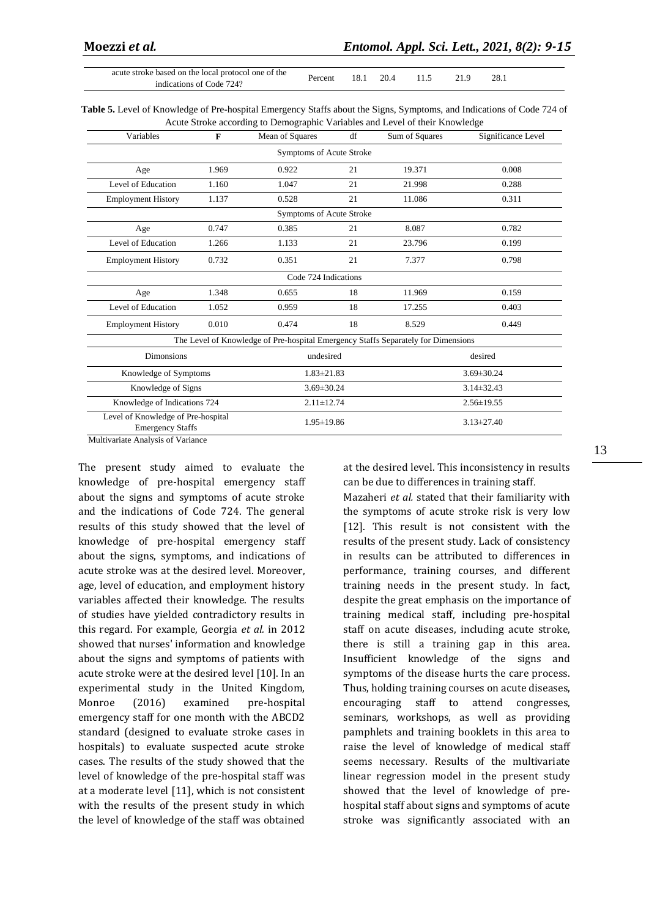acute stroke based on the local protocol one of the indications of Code 724? Percent 18.1 20.4 11.5 21.9 28.1

**Table 5.** Level of Knowledge of Pre-hospital Emergency Staffs about the Signs, Symptoms, and Indications of Code 724 of Acute Stroke according to Demographic Variables and Level of their Knowledge

| Variables                                                     | $\mathbf{F}$             | Mean of Squares                                                                   | df               | Sum of Squares | Significance Level |  |  |  |  |
|---------------------------------------------------------------|--------------------------|-----------------------------------------------------------------------------------|------------------|----------------|--------------------|--|--|--|--|
| Symptoms of Acute Stroke                                      |                          |                                                                                   |                  |                |                    |  |  |  |  |
| Age                                                           | 1.969                    | 0.922                                                                             | 21               | 19.371         | 0.008              |  |  |  |  |
| Level of Education                                            | 1.160                    | 1.047                                                                             | 21               | 21.998         | 0.288              |  |  |  |  |
| <b>Employment History</b>                                     | 1.137                    | 0.528                                                                             | 21               | 11.086         | 0.311              |  |  |  |  |
|                                                               | Symptoms of Acute Stroke |                                                                                   |                  |                |                    |  |  |  |  |
| Age                                                           | 0.747                    | 0.385                                                                             | 21               | 8.087          | 0.782              |  |  |  |  |
| Level of Education                                            | 1.266                    | 1.133                                                                             | 21               | 23.796         | 0.199              |  |  |  |  |
| <b>Employment History</b>                                     | 0.732                    | 0.351                                                                             | 21               | 7.377          | 0.798              |  |  |  |  |
|                                                               |                          | Code 724 Indications                                                              |                  |                |                    |  |  |  |  |
| Age                                                           | 1.348                    | 0.655                                                                             | 18               | 11.969         | 0.159              |  |  |  |  |
| Level of Education                                            | 1.052                    | 0.959                                                                             | 18               | 17.255         | 0.403              |  |  |  |  |
| <b>Employment History</b>                                     | 0.010                    | 0.474                                                                             | 18               | 8.529          | 0.449              |  |  |  |  |
|                                                               |                          | The Level of Knowledge of Pre-hospital Emergency Staffs Separately for Dimensions |                  |                |                    |  |  |  |  |
| <b>Dimonsions</b>                                             |                          | undesired                                                                         |                  |                | desired            |  |  |  |  |
| Knowledge of Symptoms                                         |                          | $1.83 \pm 21.83$                                                                  |                  |                | $3.69 \pm 30.24$   |  |  |  |  |
|                                                               | Knowledge of Signs       |                                                                                   | $3.69 \pm 30.24$ |                | $3.14 \pm 32.43$   |  |  |  |  |
| Knowledge of Indications 724                                  |                          | $2.11 \pm 12.74$                                                                  |                  |                | $2.56 \pm 19.55$   |  |  |  |  |
| Level of Knowledge of Pre-hospital<br><b>Emergency Staffs</b> |                          | $1.95 \pm 19.86$                                                                  |                  |                | $3.13 \pm 27.40$   |  |  |  |  |

Multivariate Analysis of Variance

The present study aimed to evaluate the knowledge of pre-hospital emergency staff about the signs and symptoms of acute stroke and the indications of Code 724. The general results of this study showed that the level of knowledge of pre-hospital emergency staff about the signs, symptoms, and indications of acute stroke was at the desired level. Moreover, age, level of education, and employment history variables affected their knowledge. The results of studies have yielded contradictory results in this regard. For example, Georgia *et al.* in 2012 showed that nurses' information and knowledge about the signs and symptoms of patients with acute stroke were at the desired level [10]. In an experimental study in the United Kingdom, Monroe (2016) examined pre-hospital emergency staff for one month with the ABCD2 standard (designed to evaluate stroke cases in hospitals) to evaluate suspected acute stroke cases. The results of the study showed that the level of knowledge of the pre-hospital staff was at a moderate level [11], which is not consistent with the results of the present study in which the level of knowledge of the staff was obtained

at the desired level. This inconsistency in results can be due to differences in training staff.

Mazaheri *et al.* stated that their familiarity with the symptoms of acute stroke risk is very low [12]. This result is not consistent with the results of the present study. Lack of consistency in results can be attributed to differences in performance, training courses, and different training needs in the present study. In fact, despite the great emphasis on the importance of training medical staff, including pre-hospital staff on acute diseases, including acute stroke, there is still a training gap in this area. Insufficient knowledge of the signs and symptoms of the disease hurts the care process. Thus, holding training courses on acute diseases, encouraging staff to attend congresses, seminars, workshops, as well as providing pamphlets and training booklets in this area to raise the level of knowledge of medical staff seems necessary. Results of the multivariate linear regression model in the present study showed that the level of knowledge of prehospital staff about signs and symptoms of acute stroke was significantly associated with an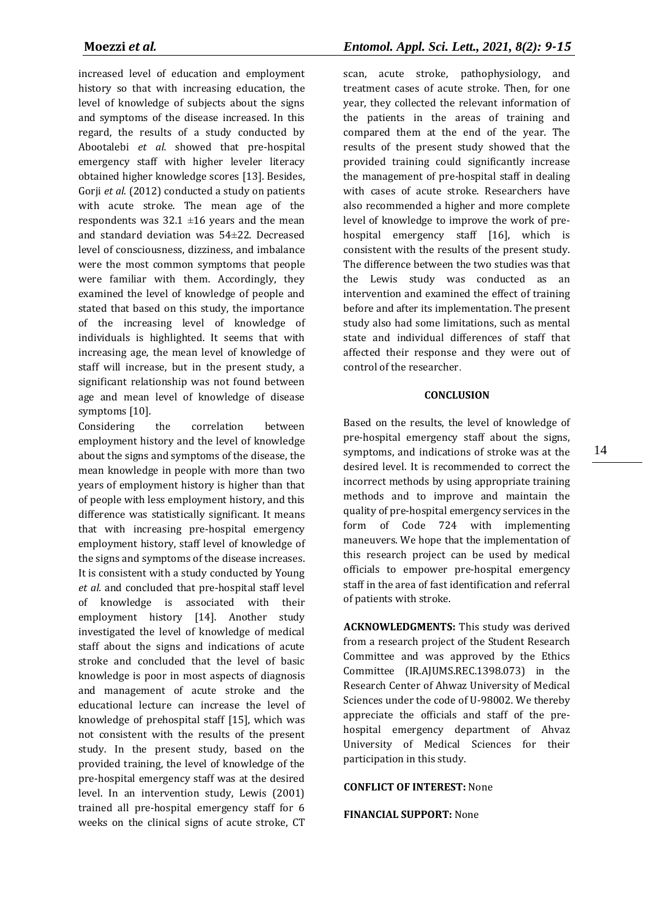increased level of education and employment history so that with increasing education, the level of knowledge of subjects about the signs and symptoms of the disease increased. In this regard, the results of a study conducted by Abootalebi *et al.* showed that pre-hospital emergency staff with higher leveler literacy obtained higher knowledge scores [13]. Besides, Gorji *et al.* (2012) conducted a study on patients with acute stroke. The mean age of the respondents was  $32.1 \pm 16$  years and the mean and standard deviation was 54±22. Decreased level of consciousness, dizziness, and imbalance were the most common symptoms that people were familiar with them. Accordingly, they examined the level of knowledge of people and stated that based on this study, the importance of the increasing level of knowledge of individuals is highlighted. It seems that with increasing age, the mean level of knowledge of staff will increase, but in the present study, a significant relationship was not found between age and mean level of knowledge of disease symptoms [10].

Considering the correlation between employment history and the level of knowledge about the signs and symptoms of the disease, the mean knowledge in people with more than two years of employment history is higher than that of people with less employment history, and this difference was statistically significant. It means that with increasing pre-hospital emergency employment history, staff level of knowledge of the signs and symptoms of the disease increases. It is consistent with a study conducted by Young *et al.* and concluded that pre-hospital staff level of knowledge is associated with their employment history [14]. Another study investigated the level of knowledge of medical staff about the signs and indications of acute stroke and concluded that the level of basic knowledge is poor in most aspects of diagnosis and management of acute stroke and the educational lecture can increase the level of knowledge of prehospital staff [15], which was not consistent with the results of the present study. In the present study, based on the provided training, the level of knowledge of the pre-hospital emergency staff was at the desired level. In an intervention study, Lewis (2001) trained all pre-hospital emergency staff for 6 weeks on the clinical signs of acute stroke, CT

scan, acute stroke, pathophysiology, and treatment cases of acute stroke. Then, for one year, they collected the relevant information of the patients in the areas of training and compared them at the end of the year. The results of the present study showed that the provided training could significantly increase the management of pre-hospital staff in dealing with cases of acute stroke. Researchers have also recommended a higher and more complete level of knowledge to improve the work of prehospital emergency staff [16], which is consistent with the results of the present study. The difference between the two studies was that the Lewis study was conducted as an intervention and examined the effect of training before and after its implementation. The present study also had some limitations, such as mental state and individual differences of staff that affected their response and they were out of control of the researcher.

#### **CONCLUSION**

Based on the results, the level of knowledge of pre-hospital emergency staff about the signs, symptoms, and indications of stroke was at the desired level. It is recommended to correct the incorrect methods by using appropriate training methods and to improve and maintain the quality of pre-hospital emergency services in the form of Code 724 with implementing maneuvers. We hope that the implementation of this research project can be used by medical officials to empower pre-hospital emergency staff in the area of fast identification and referral of patients with stroke.

**ACKNOWLEDGMENTS:** This study was derived from a research project of the Student Research Committee and was approved by the Ethics Committee (IR.AJUMS.REC.1398.073) in the Research Center of Ahwaz University of Medical Sciences under the code of U-98002. We thereby appreciate the officials and staff of the prehospital emergency department of Ahvaz University of Medical Sciences for their participation in this study.

## **CONFLICT OF INTEREST:** None

#### **FINANCIAL SUPPORT:** None